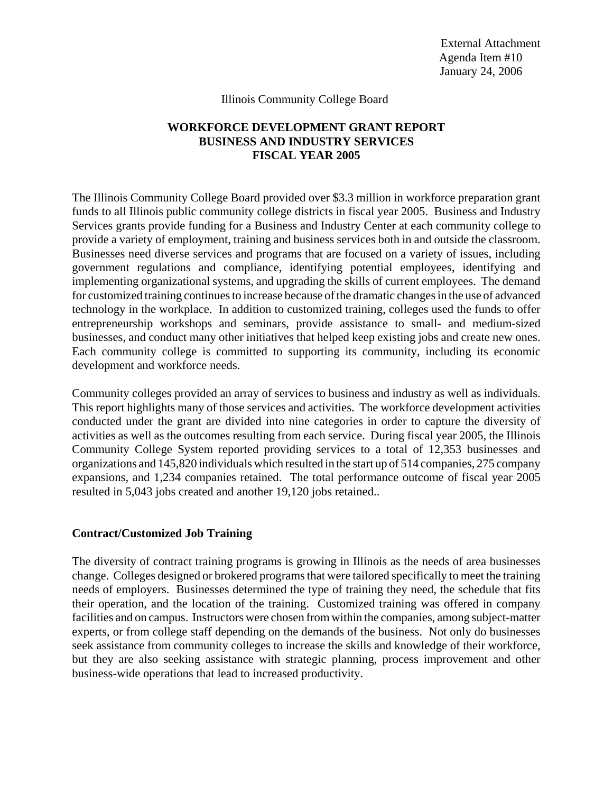External Attachment Agenda Item #10 January 24, 2006

#### Illinois Community College Board

# **WORKFORCE DEVELOPMENT GRANT REPORT BUSINESS AND INDUSTRY SERVICES FISCAL YEAR 2005**

The Illinois Community College Board provided over \$3.3 million in workforce preparation grant funds to all Illinois public community college districts in fiscal year 2005. Business and Industry Services grants provide funding for a Business and Industry Center at each community college to provide a variety of employment, training and business services both in and outside the classroom. Businesses need diverse services and programs that are focused on a variety of issues, including government regulations and compliance, identifying potential employees, identifying and implementing organizational systems, and upgrading the skills of current employees. The demand for customized training continues to increase because of the dramatic changes in the use of advanced technology in the workplace. In addition to customized training, colleges used the funds to offer entrepreneurship workshops and seminars, provide assistance to small- and medium-sized businesses, and conduct many other initiatives that helped keep existing jobs and create new ones. Each community college is committed to supporting its community, including its economic development and workforce needs.

Community colleges provided an array of services to business and industry as well as individuals. This report highlights many of those services and activities. The workforce development activities conducted under the grant are divided into nine categories in order to capture the diversity of activities as well as the outcomes resulting from each service. During fiscal year 2005, the Illinois Community College System reported providing services to a total of 12,353 businesses and organizations and 145,820 individuals which resulted in the start up of 514 companies, 275 company expansions, and 1,234 companies retained. The total performance outcome of fiscal year 2005 resulted in 5,043 jobs created and another 19,120 jobs retained..

## **Contract/Customized Job Training**

The diversity of contract training programs is growing in Illinois as the needs of area businesses change. Colleges designed or brokered programs that were tailored specifically to meet the training needs of employers. Businesses determined the type of training they need, the schedule that fits their operation, and the location of the training. Customized training was offered in company facilities and on campus. Instructors were chosen from within the companies, among subject-matter experts, or from college staff depending on the demands of the business. Not only do businesses seek assistance from community colleges to increase the skills and knowledge of their workforce, but they are also seeking assistance with strategic planning, process improvement and other business-wide operations that lead to increased productivity.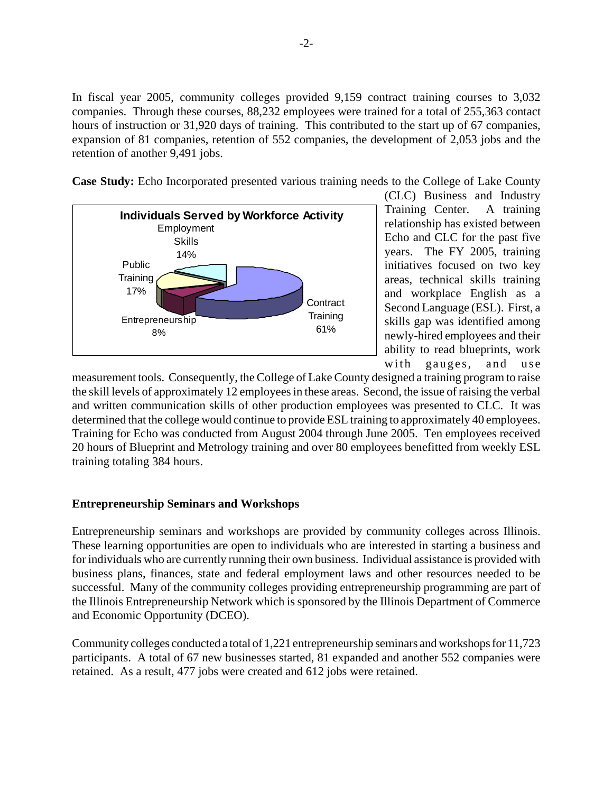In fiscal year 2005, community colleges provided 9,159 contract training courses to 3,032 companies. Through these courses, 88,232 employees were trained for a total of 255,363 contact hours of instruction or 31,920 days of training. This contributed to the start up of 67 companies, expansion of 81 companies, retention of 552 companies, the development of 2,053 jobs and the retention of another 9,491 jobs.

**Case Study:** Echo Incorporated presented various training needs to the College of Lake County



(CLC) Business and Industry Training Center. A training relationship has existed between Echo and CLC for the past five years. The FY 2005, training initiatives focused on two key areas, technical skills training and workplace English as a Second Language (ESL). First, a skills gap was identified among newly-hired employees and their ability to read blueprints, work with gauges, and use

measurement tools. Consequently, the College of Lake County designed a training program to raise the skill levels of approximately 12 employees in these areas. Second, the issue of raising the verbal and written communication skills of other production employees was presented to CLC. It was determined that the college would continue to provide ESL training to approximately 40 employees. Training for Echo was conducted from August 2004 through June 2005. Ten employees received 20 hours of Blueprint and Metrology training and over 80 employees benefitted from weekly ESL training totaling 384 hours.

# **Entrepreneurship Seminars and Workshops**

Entrepreneurship seminars and workshops are provided by community colleges across Illinois. These learning opportunities are open to individuals who are interested in starting a business and for individuals who are currently running their own business. Individual assistance is provided with business plans, finances, state and federal employment laws and other resources needed to be successful. Many of the community colleges providing entrepreneurship programming are part of the Illinois Entrepreneurship Network which is sponsored by the Illinois Department of Commerce and Economic Opportunity (DCEO).

Community colleges conducted a total of 1,221 entrepreneurship seminars and workshops for 11,723 participants. A total of 67 new businesses started, 81 expanded and another 552 companies were retained. As a result, 477 jobs were created and 612 jobs were retained.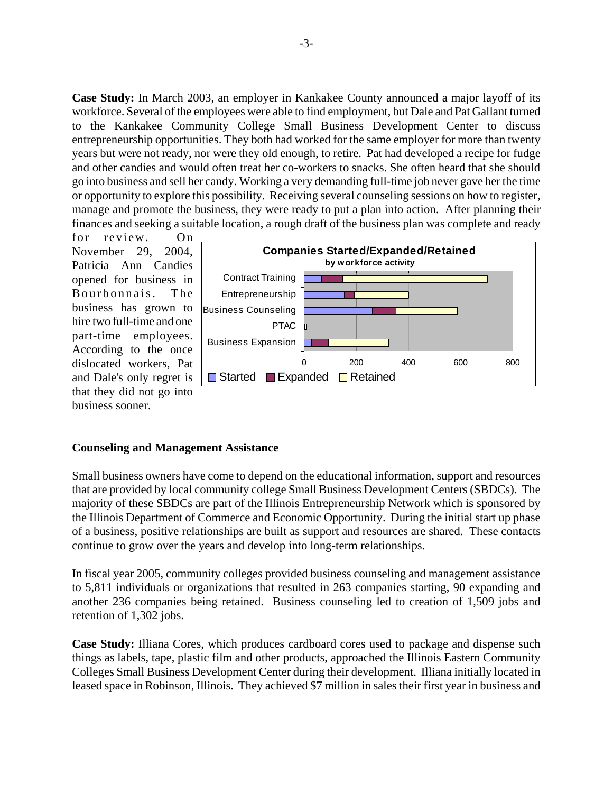**Case Study:** In March 2003, an employer in Kankakee County announced a major layoff of its workforce. Several of the employees were able to find employment, but Dale and Pat Gallant turned to the Kankakee Community College Small Business Development Center to discuss entrepreneurship opportunities. They both had worked for the same employer for more than twenty years but were not ready, nor were they old enough, to retire. Pat had developed a recipe for fudge and other candies and would often treat her co-workers to snacks. She often heard that she should go into business and sell her candy. Working a very demanding full-time job never gave her the time or opportunity to explore this possibility. Receiving several counseling sessions on how to register, manage and promote the business, they were ready to put a plan into action. After planning their finances and seeking a suitable location, a rough draft of the business plan was complete and ready

for review. On November 29, 2004, Patricia Ann Candies opened for business in Bourbonnais. The business has grown to hire two full-time and one part-time employees. According to the once dislocated workers, Pat and Dale's only regret is that they did not go into business sooner.



#### **Counseling and Management Assistance**

Small business owners have come to depend on the educational information, support and resources that are provided by local community college Small Business Development Centers (SBDCs). The majority of these SBDCs are part of the Illinois Entrepreneurship Network which is sponsored by the Illinois Department of Commerce and Economic Opportunity. During the initial start up phase of a business, positive relationships are built as support and resources are shared. These contacts continue to grow over the years and develop into long-term relationships.

In fiscal year 2005, community colleges provided business counseling and management assistance to 5,811 individuals or organizations that resulted in 263 companies starting, 90 expanding and another 236 companies being retained. Business counseling led to creation of 1,509 jobs and retention of 1,302 jobs.

**Case Study:** Illiana Cores, which produces cardboard cores used to package and dispense such things as labels, tape, plastic film and other products, approached the Illinois Eastern Community Colleges Small Business Development Center during their development. Illiana initially located in leased space in Robinson, Illinois. They achieved \$7 million in sales their first year in business and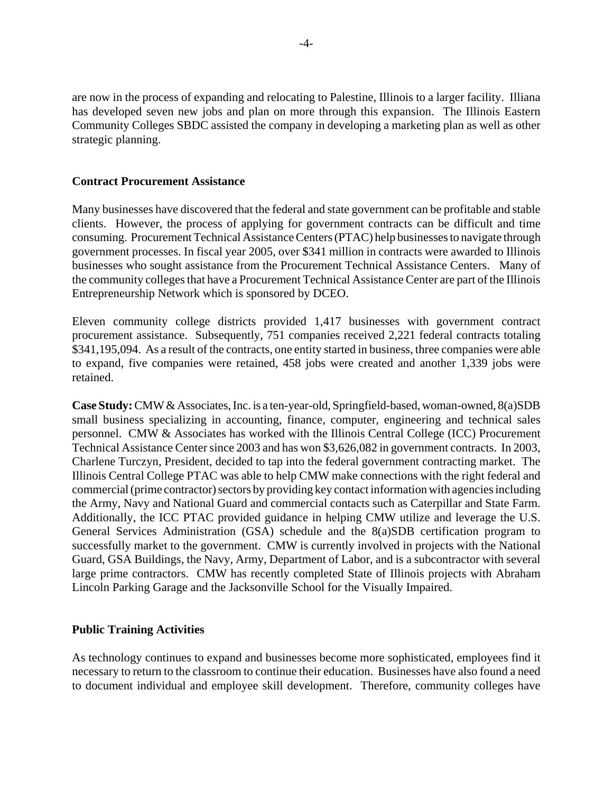are now in the process of expanding and relocating to Palestine, Illinois to a larger facility. Illiana has developed seven new jobs and plan on more through this expansion. The Illinois Eastern Community Colleges SBDC assisted the company in developing a marketing plan as well as other strategic planning.

## **Contract Procurement Assistance**

Many businesses have discovered that the federal and state government can be profitable and stable clients. However, the process of applying for government contracts can be difficult and time consuming. Procurement Technical Assistance Centers (PTAC) help businesses to navigate through government processes. In fiscal year 2005, over \$341 million in contracts were awarded to Illinois businesses who sought assistance from the Procurement Technical Assistance Centers. Many of the community colleges that have a Procurement Technical Assistance Center are part of the Illinois Entrepreneurship Network which is sponsored by DCEO.

Eleven community college districts provided 1,417 businesses with government contract procurement assistance. Subsequently, 751 companies received 2,221 federal contracts totaling \$341,195,094. As a result of the contracts, one entity started in business, three companies were able to expand, five companies were retained, 458 jobs were created and another 1,339 jobs were retained.

**Case Study:** CMW & Associates, Inc. is a ten-year-old, Springfield-based, woman-owned, 8(a)SDB small business specializing in accounting, finance, computer, engineering and technical sales personnel. CMW & Associates has worked with the Illinois Central College (ICC) Procurement Technical Assistance Center since 2003 and has won \$3,626,082 in government contracts. In 2003, Charlene Turczyn, President, decided to tap into the federal government contracting market. The Illinois Central College PTAC was able to help CMW make connections with the right federal and commercial (prime contractor) sectors by providing key contact information with agencies including the Army, Navy and National Guard and commercial contacts such as Caterpillar and State Farm. Additionally, the ICC PTAC provided guidance in helping CMW utilize and leverage the U.S. General Services Administration (GSA) schedule and the 8(a)SDB certification program to successfully market to the government. CMW is currently involved in projects with the National Guard, GSA Buildings, the Navy, Army, Department of Labor, and is a subcontractor with several large prime contractors. CMW has recently completed State of Illinois projects with Abraham Lincoln Parking Garage and the Jacksonville School for the Visually Impaired.

## **Public Training Activities**

As technology continues to expand and businesses become more sophisticated, employees find it necessary to return to the classroom to continue their education. Businesses have also found a need to document individual and employee skill development. Therefore, community colleges have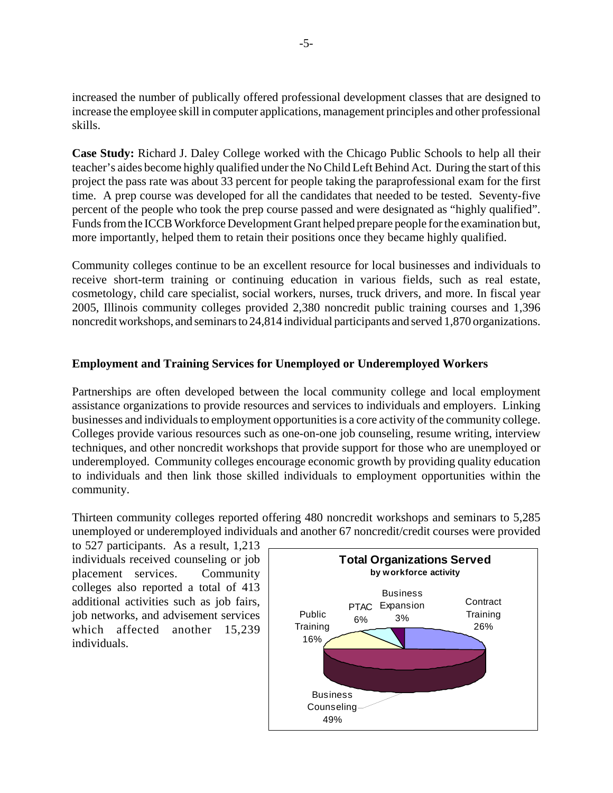increased the number of publically offered professional development classes that are designed to increase the employee skill in computer applications, management principles and other professional skills.

**Case Study:** Richard J. Daley College worked with the Chicago Public Schools to help all their teacher's aides become highly qualified under the No Child Left Behind Act. During the start of this project the pass rate was about 33 percent for people taking the paraprofessional exam for the first time. A prep course was developed for all the candidates that needed to be tested. Seventy-five percent of the people who took the prep course passed and were designated as "highly qualified". Funds from the ICCB Workforce Development Grant helped prepare people for the examination but, more importantly, helped them to retain their positions once they became highly qualified.

Community colleges continue to be an excellent resource for local businesses and individuals to receive short-term training or continuing education in various fields, such as real estate, cosmetology, child care specialist, social workers, nurses, truck drivers, and more. In fiscal year 2005, Illinois community colleges provided 2,380 noncredit public training courses and 1,396 noncredit workshops, and seminars to 24,814 individual participants and served 1,870 organizations.

# **Employment and Training Services for Unemployed or Underemployed Workers**

Partnerships are often developed between the local community college and local employment assistance organizations to provide resources and services to individuals and employers. Linking businesses and individuals to employment opportunities is a core activity of the community college. Colleges provide various resources such as one-on-one job counseling, resume writing, interview techniques, and other noncredit workshops that provide support for those who are unemployed or underemployed. Community colleges encourage economic growth by providing quality education to individuals and then link those skilled individuals to employment opportunities within the community.

Thirteen community colleges reported offering 480 noncredit workshops and seminars to 5,285 unemployed or underemployed individuals and another 67 noncredit/credit courses were provided

to 527 participants. As a result, 1,213 individuals received counseling or job placement services. Community colleges also reported a total of 413 additional activities such as job fairs, job networks, and advisement services which affected another 15,239 individuals.

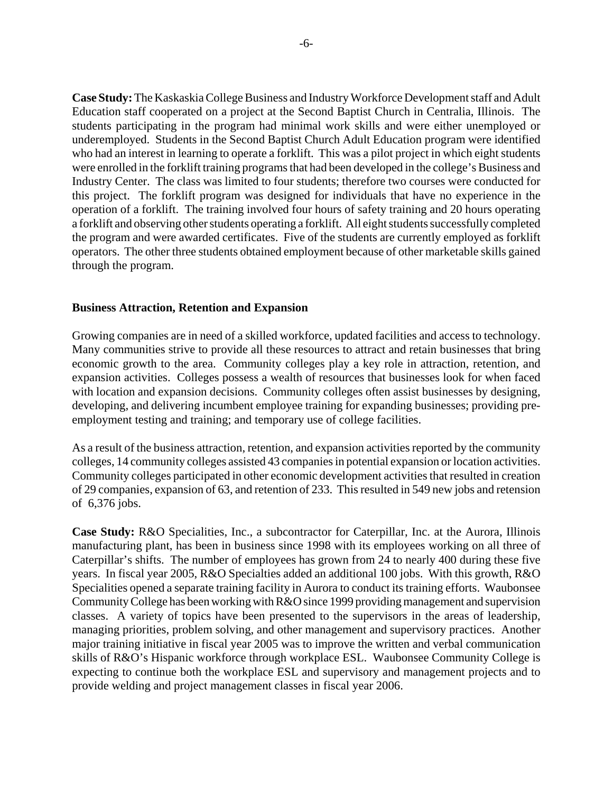**Case Study:** The Kaskaskia College Business and Industry Workforce Development staff and Adult Education staff cooperated on a project at the Second Baptist Church in Centralia, Illinois. The students participating in the program had minimal work skills and were either unemployed or underemployed. Students in the Second Baptist Church Adult Education program were identified who had an interest in learning to operate a forklift. This was a pilot project in which eight students were enrolled in the forklift training programs that had been developed in the college's Business and Industry Center. The class was limited to four students; therefore two courses were conducted for this project. The forklift program was designed for individuals that have no experience in the operation of a forklift. The training involved four hours of safety training and 20 hours operating a forklift and observing other students operating a forklift. All eight students successfully completed the program and were awarded certificates. Five of the students are currently employed as forklift operators. The other three students obtained employment because of other marketable skills gained through the program.

## **Business Attraction, Retention and Expansion**

Growing companies are in need of a skilled workforce, updated facilities and access to technology. Many communities strive to provide all these resources to attract and retain businesses that bring economic growth to the area. Community colleges play a key role in attraction, retention, and expansion activities. Colleges possess a wealth of resources that businesses look for when faced with location and expansion decisions. Community colleges often assist businesses by designing, developing, and delivering incumbent employee training for expanding businesses; providing preemployment testing and training; and temporary use of college facilities.

As a result of the business attraction, retention, and expansion activities reported by the community colleges, 14 community colleges assisted 43 companies in potential expansion or location activities. Community colleges participated in other economic development activities that resulted in creation of 29 companies, expansion of 63, and retention of 233. This resulted in 549 new jobs and retension of 6,376 jobs.

**Case Study:** R&O Specialities, Inc., a subcontractor for Caterpillar, Inc. at the Aurora, Illinois manufacturing plant, has been in business since 1998 with its employees working on all three of Caterpillar's shifts. The number of employees has grown from 24 to nearly 400 during these five years. In fiscal year 2005, R&O Specialties added an additional 100 jobs. With this growth, R&O Specialities opened a separate training facility in Aurora to conduct its training efforts. Waubonsee Community College has been working with R&O since 1999 providing management and supervision classes. A variety of topics have been presented to the supervisors in the areas of leadership, managing priorities, problem solving, and other management and supervisory practices. Another major training initiative in fiscal year 2005 was to improve the written and verbal communication skills of R&O's Hispanic workforce through workplace ESL. Waubonsee Community College is expecting to continue both the workplace ESL and supervisory and management projects and to provide welding and project management classes in fiscal year 2006.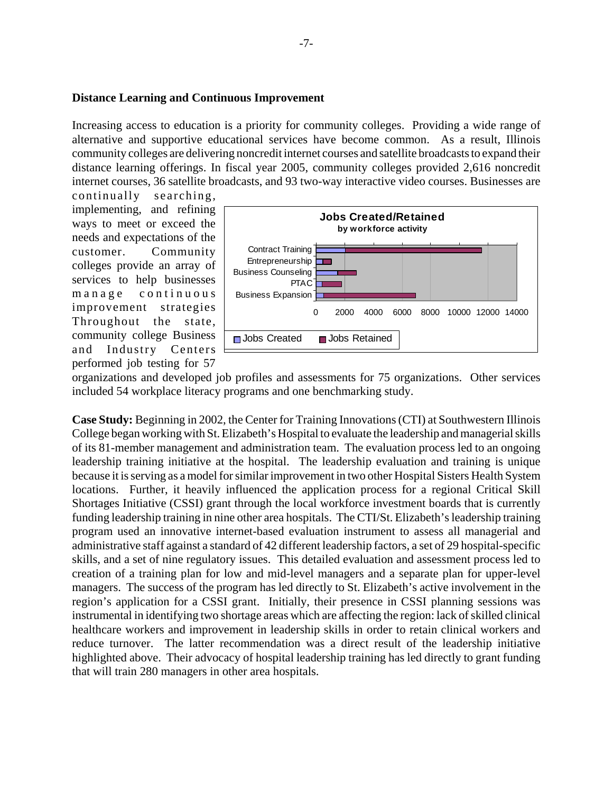#### **Distance Learning and Continuous Improvement**

Increasing access to education is a priority for community colleges. Providing a wide range of alternative and supportive educational services have become common. As a result, Illinois community colleges are delivering noncredit internet courses and satellite broadcasts to expand their distance learning offerings. In fiscal year 2005, community colleges provided 2,616 noncredit internet courses, 36 satellite broadcasts, and 93 two-way interactive video courses. Businesses are

continually searching, implementing, and refining ways to meet or exceed the needs and expectations of the customer. Community colleges provide an array of services to help businesses manage continuous improvement strategies Throughout the state, community college Business and Industry Centers performed job testing for 57



organizations and developed job profiles and assessments for 75 organizations. Other services included 54 workplace literacy programs and one benchmarking study.

**Case Study:** Beginning in 2002, the Center for Training Innovations (CTI) at Southwestern Illinois College began working with St. Elizabeth's Hospital to evaluate the leadership and managerial skills of its 81-member management and administration team. The evaluation process led to an ongoing leadership training initiative at the hospital. The leadership evaluation and training is unique because it is serving as a model for similar improvement in two other Hospital Sisters Health System locations. Further, it heavily influenced the application process for a regional Critical Skill Shortages Initiative (CSSI) grant through the local workforce investment boards that is currently funding leadership training in nine other area hospitals. The CTI/St. Elizabeth's leadership training program used an innovative internet-based evaluation instrument to assess all managerial and administrative staff against a standard of 42 different leadership factors, a set of 29 hospital-specific skills, and a set of nine regulatory issues. This detailed evaluation and assessment process led to creation of a training plan for low and mid-level managers and a separate plan for upper-level managers. The success of the program has led directly to St. Elizabeth's active involvement in the region's application for a CSSI grant. Initially, their presence in CSSI planning sessions was instrumental in identifying two shortage areas which are affecting the region: lack of skilled clinical healthcare workers and improvement in leadership skills in order to retain clinical workers and reduce turnover. The latter recommendation was a direct result of the leadership initiative highlighted above. Their advocacy of hospital leadership training has led directly to grant funding that will train 280 managers in other area hospitals.